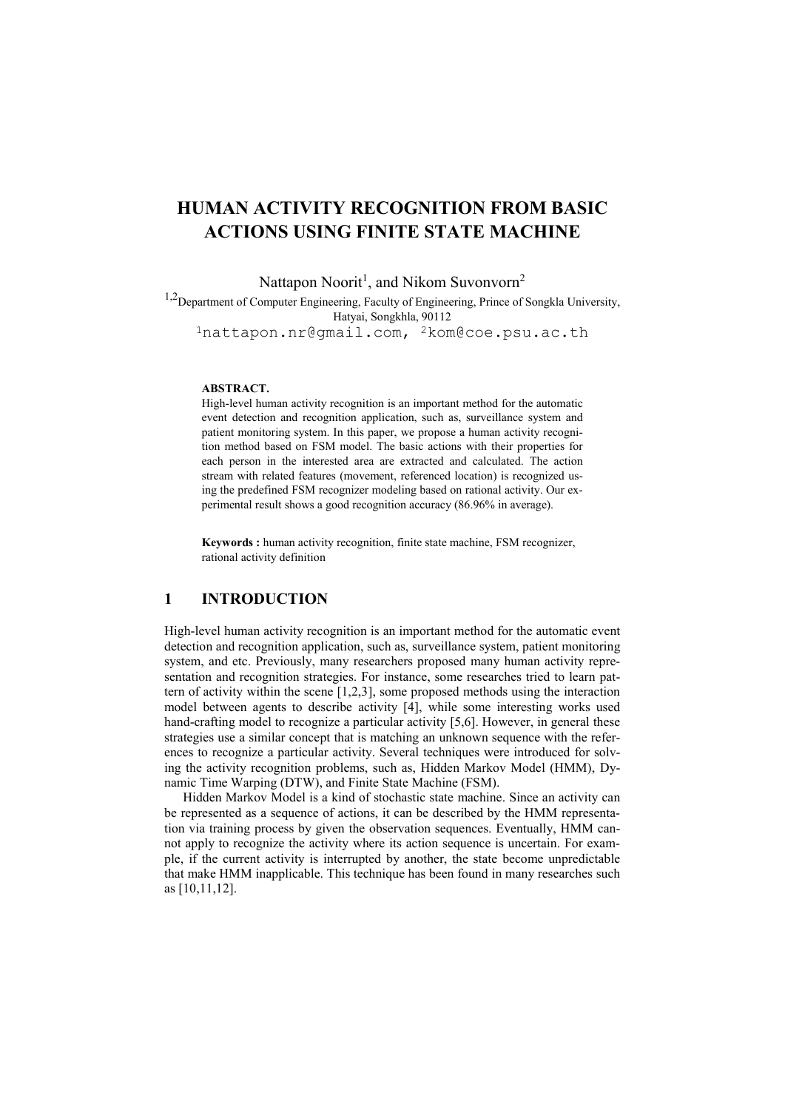# HUMAN ACTIVITY RECOGNITION FROM BASIC ACTIONS USING FINITE STATE MACHINE

Nattapon Noorit<sup>1</sup>, and Nikom Suvonvorn<sup>2</sup>

<sup>1,2</sup>Department of Computer Engineering, Faculty of Engineering, Prince of Songkla University, Hatyai, Songkhla, 90112 1nattapon.nr@gmail.com, 2kom@coe.psu.ac.th

#### ABSTRACT.

High-level human activity recognition is an important method for the automatic event detection and recognition application, such as, surveillance system and patient monitoring system. In this paper, we propose a human activity recognition method based on FSM model. The basic actions with their properties for each person in the interested area are extracted and calculated. The action stream with related features (movement, referenced location) is recognized using the predefined FSM recognizer modeling based on rational activity. Our experimental result shows a good recognition accuracy (86.96% in average).

Keywords : human activity recognition, finite state machine, FSM recognizer, rational activity definition

# 1 INTRODUCTION

High-level human activity recognition is an important method for the automatic event detection and recognition application, such as, surveillance system, patient monitoring system, and etc. Previously, many researchers proposed many human activity representation and recognition strategies. For instance, some researches tried to learn pattern of activity within the scene [1,2,3], some proposed methods using the interaction model between agents to describe activity [4], while some interesting works used hand-crafting model to recognize a particular activity [5,6]. However, in general these strategies use a similar concept that is matching an unknown sequence with the references to recognize a particular activity. Several techniques were introduced for solving the activity recognition problems, such as, Hidden Markov Model (HMM), Dynamic Time Warping (DTW), and Finite State Machine (FSM).

Hidden Markov Model is a kind of stochastic state machine. Since an activity can be represented as a sequence of actions, it can be described by the HMM representation via training process by given the observation sequences. Eventually, HMM cannot apply to recognize the activity where its action sequence is uncertain. For example, if the current activity is interrupted by another, the state become unpredictable that make HMM inapplicable. This technique has been found in many researches such as [10,11,12].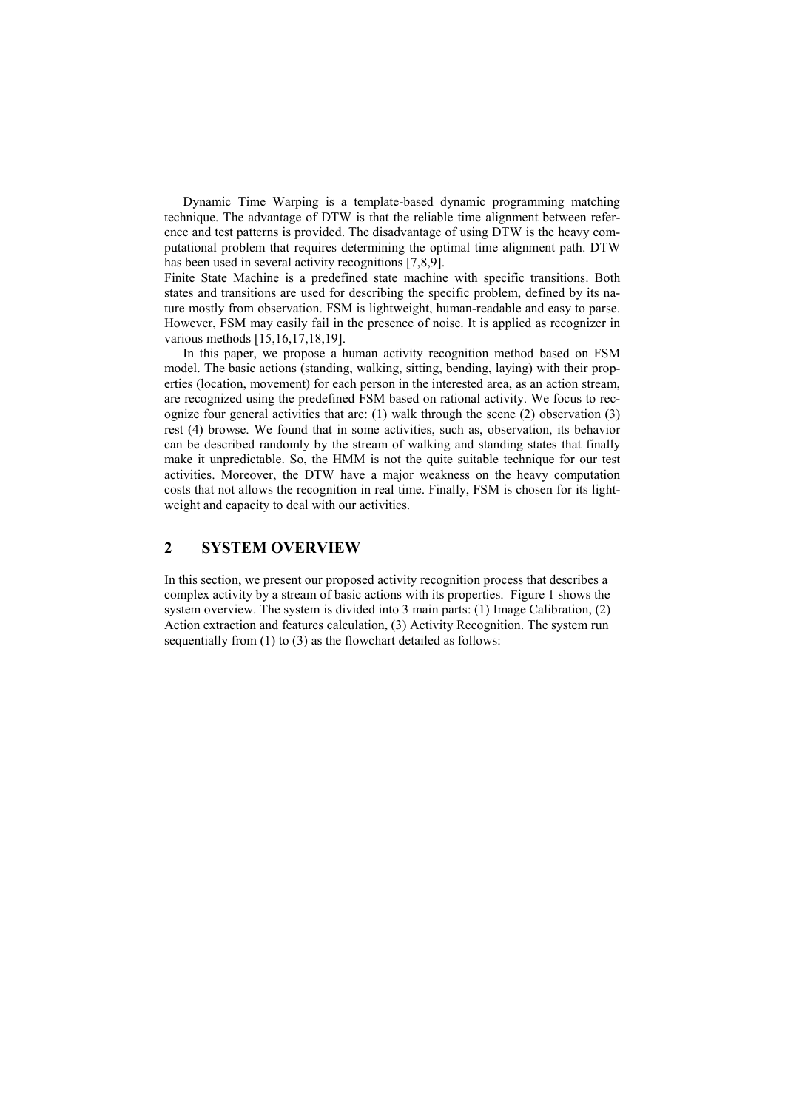Dynamic Time Warping is a template-based dynamic programming matching technique. The advantage of DTW is that the reliable time alignment between reference and test patterns is provided. The disadvantage of using DTW is the heavy computational problem that requires determining the optimal time alignment path. DTW has been used in several activity recognitions [7,8,9].

Finite State Machine is a predefined state machine with specific transitions. Both states and transitions are used for describing the specific problem, defined by its nature mostly from observation. FSM is lightweight, human-readable and easy to parse. However, FSM may easily fail in the presence of noise. It is applied as recognizer in various methods [15,16,17,18,19].

In this paper, we propose a human activity recognition method based on FSM model. The basic actions (standing, walking, sitting, bending, laying) with their properties (location, movement) for each person in the interested area, as an action stream, are recognized using the predefined FSM based on rational activity. We focus to recognize four general activities that are:  $(1)$  walk through the scene  $(2)$  observation  $(3)$ rest (4) browse. We found that in some activities, such as, observation, its behavior can be described randomly by the stream of walking and standing states that finally make it unpredictable. So, the HMM is not the quite suitable technique for our test activities. Moreover, the DTW have a major weakness on the heavy computation costs that not allows the recognition in real time. Finally, FSM is chosen for its lightweight and capacity to deal with our activities.

## 2 SYSTEM OVERVIEW

In this section, we present our proposed activity recognition process that describes a complex activity by a stream of basic actions with its properties. Figure 1 shows the system overview. The system is divided into 3 main parts: (1) Image Calibration, (2) Action extraction and features calculation, (3) Activity Recognition. The system run sequentially from (1) to (3) as the flowchart detailed as follows: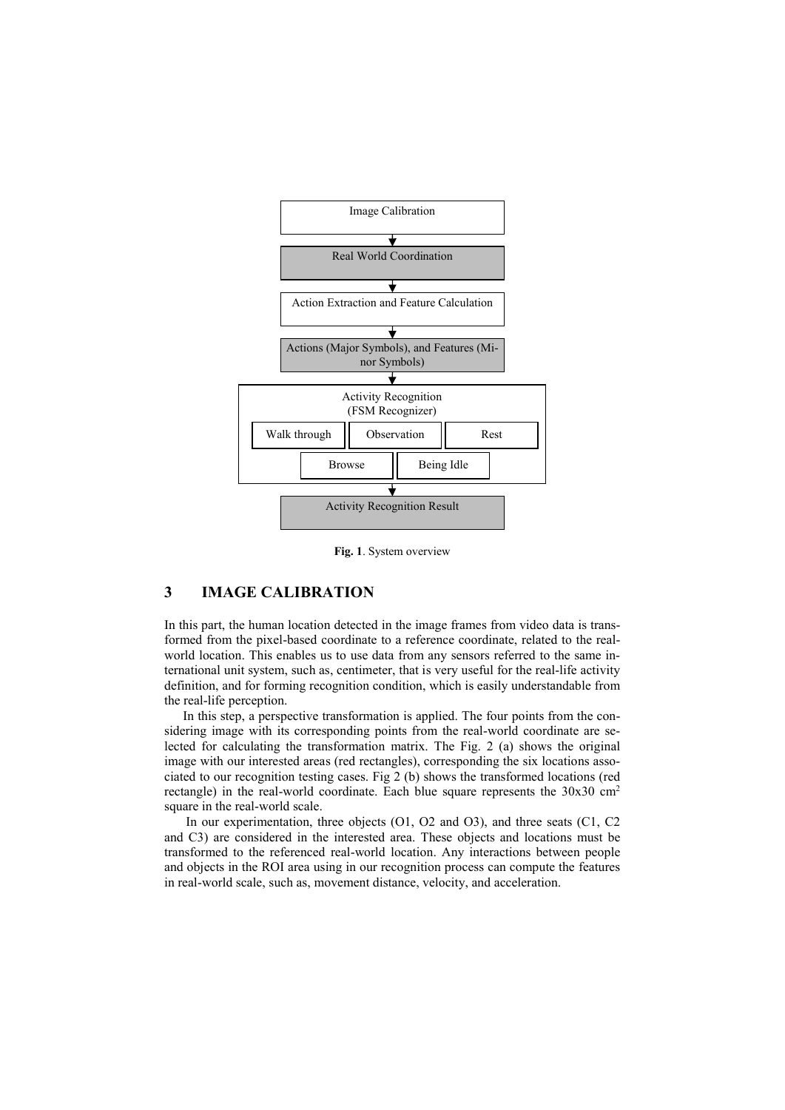

Fig. 1. System overview

# 3 IMAGE CALIBRATION

In this part, the human location detected in the image frames from video data is transformed from the pixel-based coordinate to a reference coordinate, related to the realworld location. This enables us to use data from any sensors referred to the same international unit system, such as, centimeter, that is very useful for the real-life activity definition, and for forming recognition condition, which is easily understandable from the real-life perception.

In this step, a perspective transformation is applied. The four points from the considering image with its corresponding points from the real-world coordinate are selected for calculating the transformation matrix. The Fig. 2 (a) shows the original image with our interested areas (red rectangles), corresponding the six locations associated to our recognition testing cases. Fig 2 (b) shows the transformed locations (red rectangle) in the real-world coordinate. Each blue square represents the 30x30 cm<sup>2</sup> square in the real-world scale.

In our experimentation, three objects (O1, O2 and O3), and three seats (C1, C2 and C3) are considered in the interested area. These objects and locations must be transformed to the referenced real-world location. Any interactions between people and objects in the ROI area using in our recognition process can compute the features in real-world scale, such as, movement distance, velocity, and acceleration.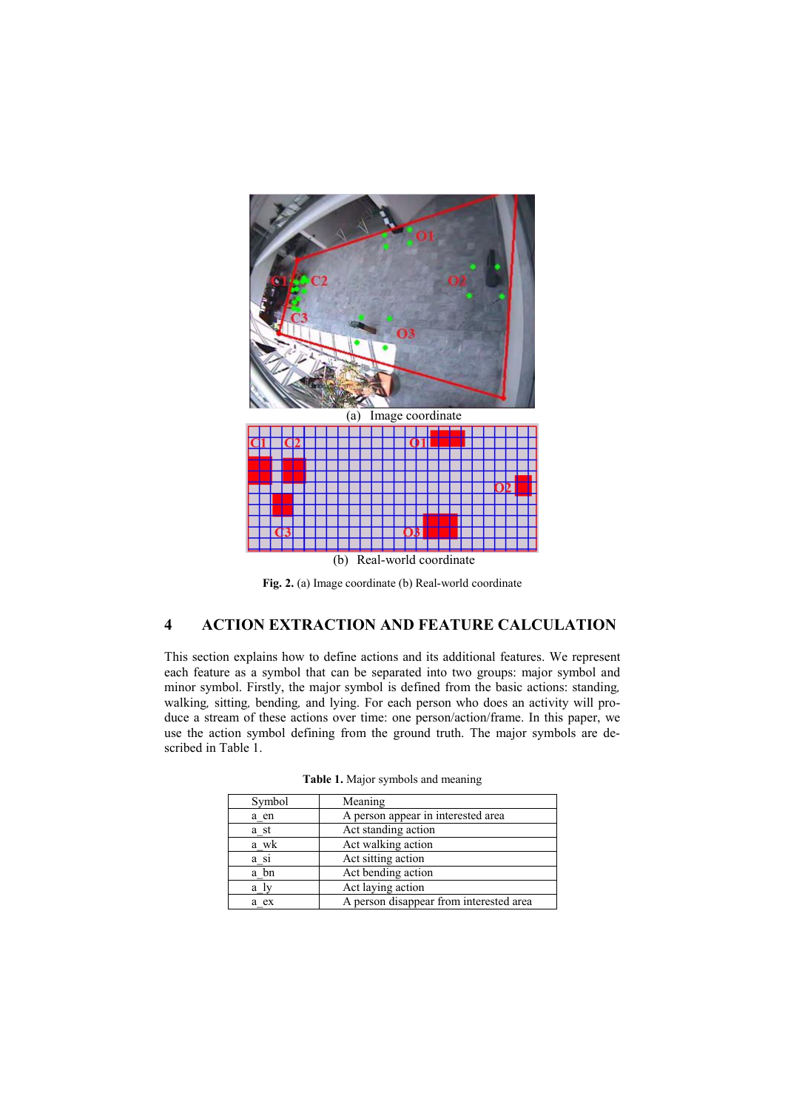

Fig. 2. (a) Image coordinate (b) Real-world coordinate

## 4 ACTION EXTRACTION AND FEATURE CALCULATION

This section explains how to define actions and its additional features. We represent each feature as a symbol that can be separated into two groups: major symbol and minor symbol. Firstly, the major symbol is defined from the basic actions: standing*,*  walking*,* sitting*,* bending*,* and lying. For each person who does an activity will produce a stream of these actions over time: one person/action/frame. In this paper, we use the action symbol defining from the ground truth. The major symbols are described in Table 1.

| Symbol | Meaning                                 |
|--------|-----------------------------------------|
| a en   | A person appear in interested area      |
| a_st   | Act standing action                     |
| a wk   | Act walking action                      |
| a_si   | Act sitting action                      |
| a bn   | Act bending action                      |
| a ly   | Act laying action                       |
| a ex   | A person disappear from interested area |

Table 1. Major symbols and meaning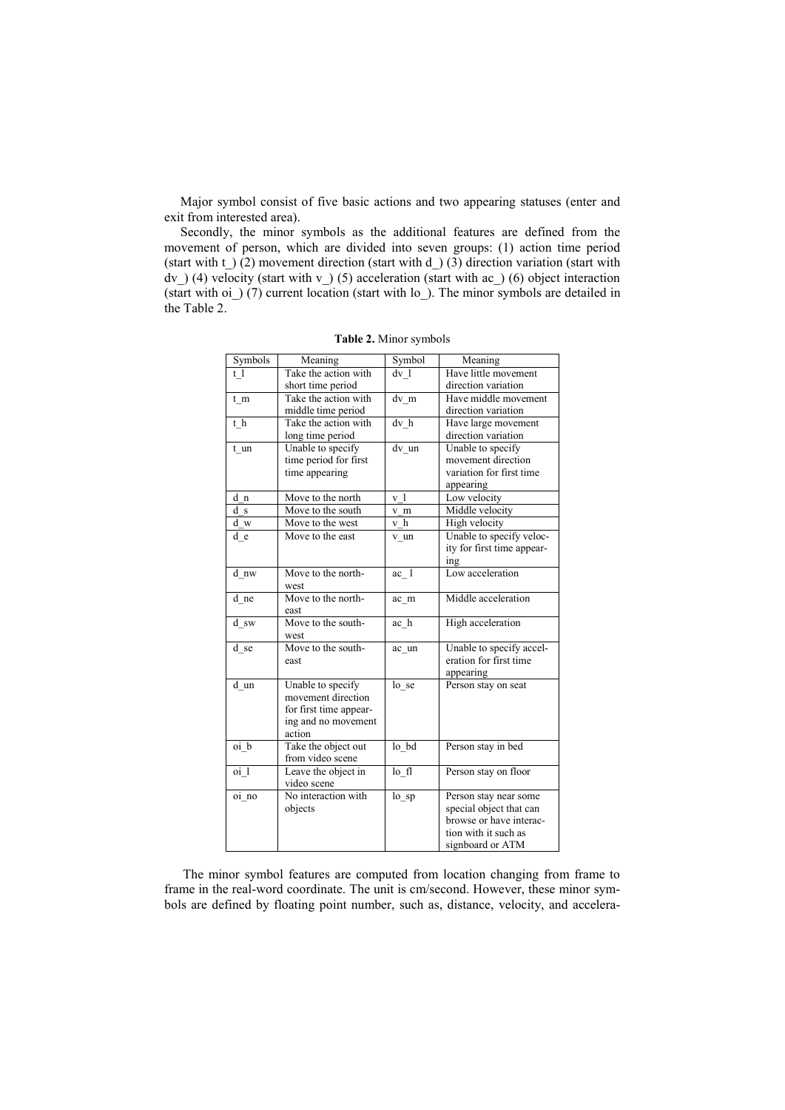Major symbol consist of five basic actions and two appearing statuses (enter and exit from interested area).

Secondly, the minor symbols as the additional features are defined from the movement of person, which are divided into seven groups: (1) action time period (start with  $t_$ ) (2) movement direction (start with  $d_$ ) (3) direction variation (start with dv\_) (4) velocity (start with v\_) (5) acceleration (start with ac\_) (6) object interaction (start with oi\_) (7) current location (start with lo\_). The minor symbols are detailed in the Table 2.

| Symbols            | Meaning                | Symbol              | Meaning                    |
|--------------------|------------------------|---------------------|----------------------------|
| t <sub>1</sub>     | Take the action with   | $dv_1$              | Have little movement       |
|                    | short time period      |                     | direction variation        |
| $t_{m}$            | Take the action with   | $dv$ <sub>m</sub>   | Have middle movement       |
|                    | middle time period     |                     | direction variation        |
| $t\,$ h            | Take the action with   | $dv_h$              | Have large movement        |
|                    | long time period       |                     | direction variation        |
| t un               | Unable to specify      | $\overline{dv}$ _un | Unable to specify          |
|                    | time period for first  |                     | movement direction         |
|                    | time appearing         |                     | variation for first time   |
|                    |                        |                     | appearing                  |
| d n                | Move to the north      | v <sub>1</sub>      | Low velocity               |
| d s                | Move to the south      | v m                 | Middle velocity            |
| d w                | Move to the west       | $v$ <sub>h</sub>    | High velocity              |
| d e                | Move to the east       | v un                | Unable to specify veloc-   |
|                    |                        |                     | ity for first time appear- |
|                    |                        |                     | ing                        |
| d nw               | Move to the north-     | $ac_1$              | Low acceleration           |
|                    | west                   |                     |                            |
| d_ne               | Move to the north-     | ac m                | Middle acceleration        |
|                    | east                   |                     |                            |
| d sw               | Move to the south-     | ac h                | High acceleration          |
|                    | west                   |                     |                            |
| d se               | Move to the south-     | ac un               | Unable to specify accel-   |
|                    | east                   |                     | eration for first time     |
|                    |                        |                     | appearing                  |
| d un               | Unable to specify      | lo_se               | Person stay on seat        |
|                    | movement direction     |                     |                            |
|                    | for first time appear- |                     |                            |
|                    | ing and no movement    |                     |                            |
|                    | action                 |                     |                            |
| $\overline{oi}\_b$ | Take the object out    | $lo$ _ $bd$         | Person stay in bed         |
|                    | from video scene       |                     |                            |
| oi <sub>1</sub>    | Leave the object in    | $lo$ fl             | Person stay on floor       |
|                    | video scene            |                     |                            |
| oi no              | No interaction with    | $lo$ _sp            | Person stay near some      |
|                    | objects                |                     | special object that can    |
|                    |                        |                     | browse or have interac-    |
|                    |                        |                     | tion with it such as       |
|                    |                        |                     | signboard or ATM           |

Table 2. Minor symbols

The minor symbol features are computed from location changing from frame to frame in the real-word coordinate. The unit is cm/second. However, these minor symbols are defined by floating point number, such as, distance, velocity, and accelera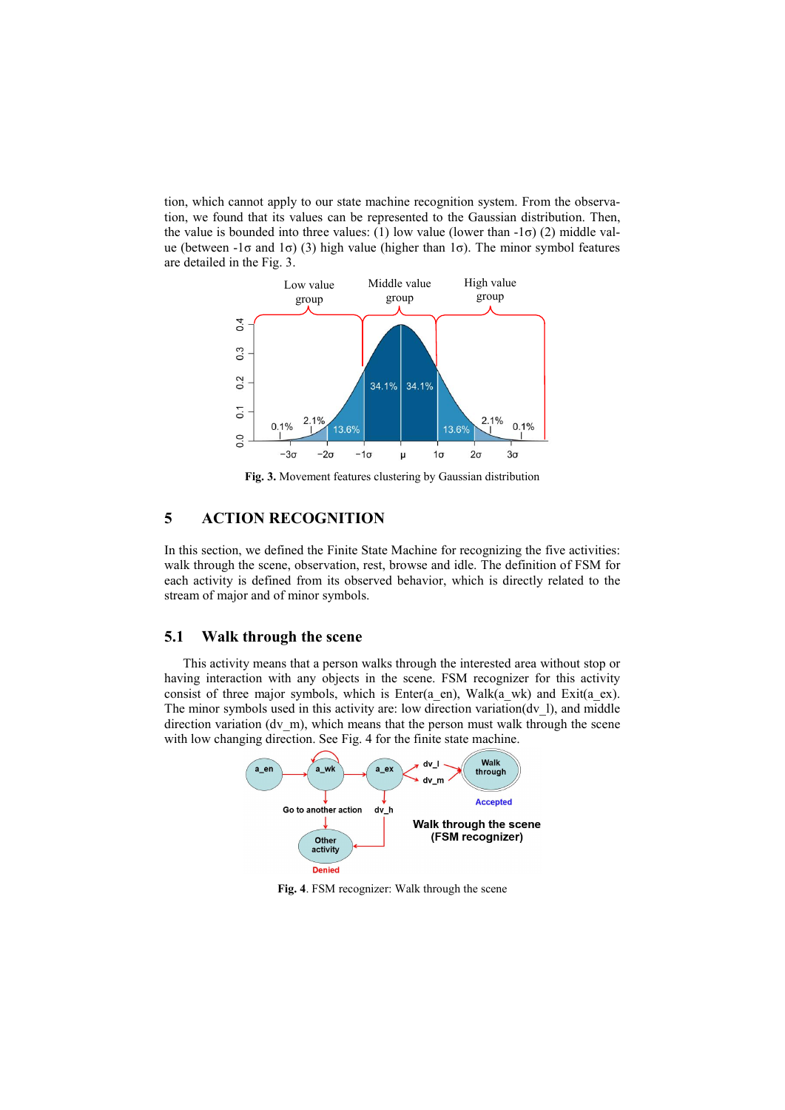tion, which cannot apply to our state machine recognition system. From the observation, we found that its values can be represented to the Gaussian distribution. Then, the value is bounded into three values: (1) low value (lower than  $-1\sigma$ ) (2) middle value (between  $-1\sigma$  and  $1\sigma$ ) (3) high value (higher than  $1\sigma$ ). The minor symbol features are detailed in the Fig. 3.



Fig. 3. Movement features clustering by Gaussian distribution

# 5 ACTION RECOGNITION

In this section, we defined the Finite State Machine for recognizing the five activities: walk through the scene, observation, rest, browse and idle. The definition of FSM for each activity is defined from its observed behavior, which is directly related to the stream of major and of minor symbols.

#### 5.1 Walk through the scene

This activity means that a person walks through the interested area without stop or having interaction with any objects in the scene. FSM recognizer for this activity consist of three major symbols, which is Enter(a\_en), Walk(a\_wk) and Exit(a\_ex). The minor symbols used in this activity are: low direction variation( $dv$  1), and middle direction variation (dv\_m), which means that the person must walk through the scene with low changing direction. See Fig. 4 for the finite state machine.



Fig. 4. FSM recognizer: Walk through the scene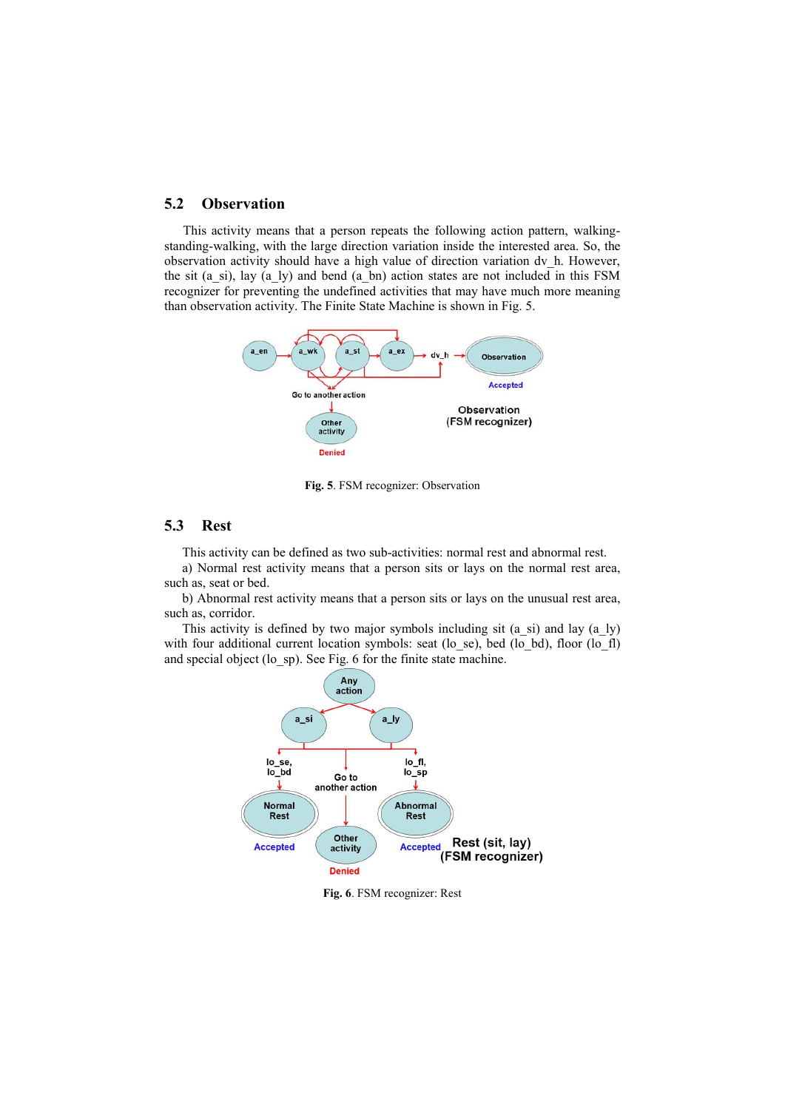#### 5.2 Observation

This activity means that a person repeats the following action pattern, walkingstanding-walking, with the large direction variation inside the interested area. So, the observation activity should have a high value of direction variation dv\_h. However, the sit (a\_si), lay (a\_ly) and bend (a\_bn) action states are not included in this FSM recognizer for preventing the undefined activities that may have much more meaning than observation activity. The Finite State Machine is shown in Fig. 5.



Fig. 5. FSM recognizer: Observation

#### 5.3 Rest

This activity can be defined as two sub-activities: normal rest and abnormal rest.

a) Normal rest activity means that a person sits or lays on the normal rest area, such as, seat or bed.

b) Abnormal rest activity means that a person sits or lays on the unusual rest area, such as, corridor.

This activity is defined by two major symbols including sit (a\_si) and lay (a\_ly) with four additional current location symbols: seat (lo se), bed (lo bd), floor (lo fl) and special object (lo sp). See Fig. 6 for the finite state machine.



Fig. 6. FSM recognizer: Rest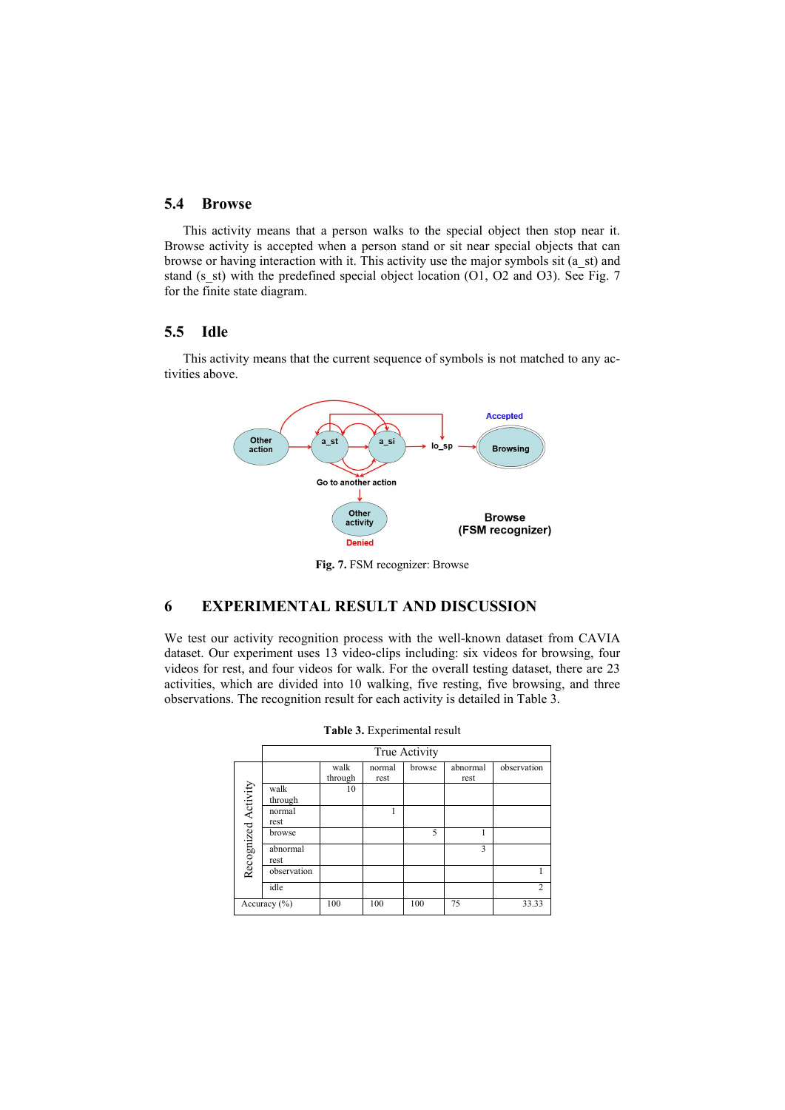#### 5.4 Browse

This activity means that a person walks to the special object then stop near it. Browse activity is accepted when a person stand or sit near special objects that can browse or having interaction with it. This activity use the major symbols sit (a\_st) and stand (s\_st) with the predefined special object location (O1, O2 and O3). See Fig. 7 for the finite state diagram.

### 5.5 Idle

This activity means that the current sequence of symbols is not matched to any activities above.



Fig. 7. FSM recognizer: Browse

# 6 EXPERIMENTAL RESULT AND DISCUSSION

We test our activity recognition process with the well-known dataset from CAVIA dataset. Our experiment uses 13 video-clips including: six videos for browsing, four videos for rest, and four videos for walk. For the overall testing dataset, there are 23 activities, which are divided into 10 walking, five resting, five browsing, and three observations. The recognition result for each activity is detailed in Table 3.

|                     | True Activity    |                 |                |        |                  |                |  |
|---------------------|------------------|-----------------|----------------|--------|------------------|----------------|--|
|                     |                  | walk<br>through | normal<br>rest | browse | abnormal<br>rest | observation    |  |
| Recognized Activity | walk<br>through  | 10              |                |        |                  |                |  |
|                     | normal<br>rest   |                 |                |        |                  |                |  |
|                     | browse           |                 |                | 5      |                  |                |  |
|                     | abnormal<br>rest |                 |                |        | 3                |                |  |
|                     | observation      |                 |                |        |                  |                |  |
|                     | idle             |                 |                |        |                  | $\overline{c}$ |  |
|                     | Accuracy $(\% )$ | 100             | 100            | 100    | 75               | 33.33          |  |

|  | Table 3. Experimental result |  |
|--|------------------------------|--|
|--|------------------------------|--|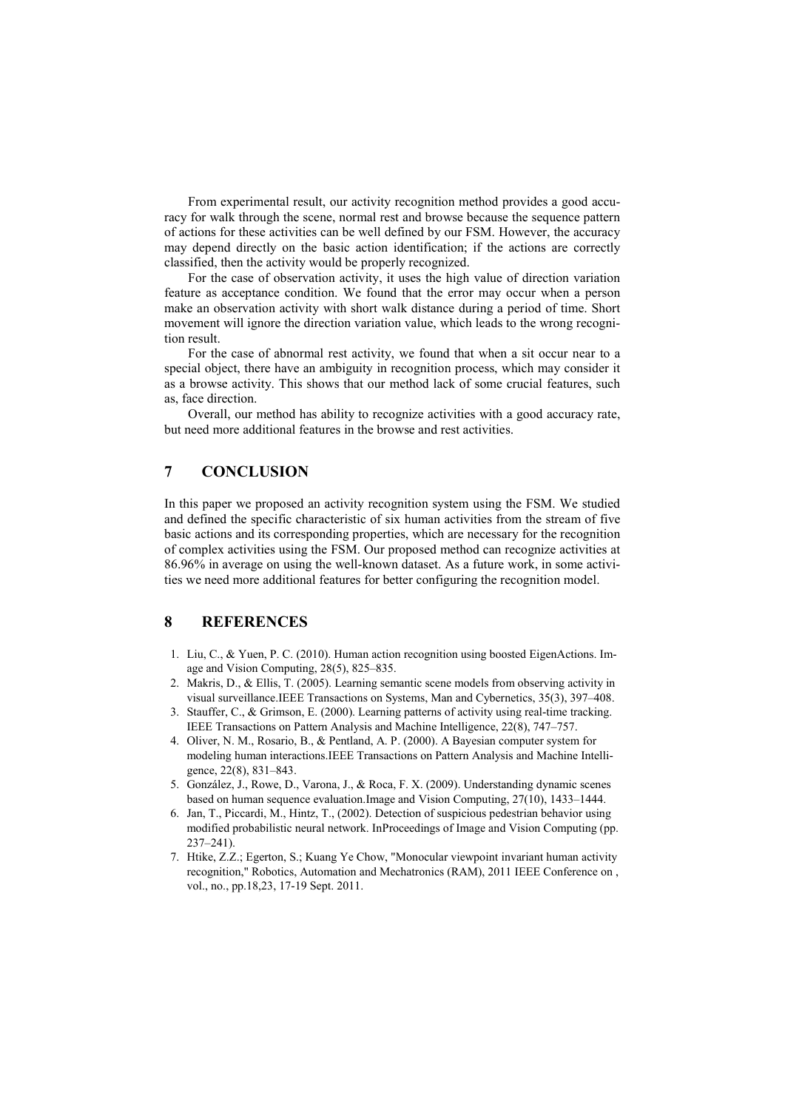From experimental result, our activity recognition method provides a good accuracy for walk through the scene, normal rest and browse because the sequence pattern of actions for these activities can be well defined by our FSM. However, the accuracy may depend directly on the basic action identification; if the actions are correctly classified, then the activity would be properly recognized.

For the case of observation activity, it uses the high value of direction variation feature as acceptance condition. We found that the error may occur when a person make an observation activity with short walk distance during a period of time. Short movement will ignore the direction variation value, which leads to the wrong recognition result.

For the case of abnormal rest activity, we found that when a sit occur near to a special object, there have an ambiguity in recognition process, which may consider it as a browse activity. This shows that our method lack of some crucial features, such as, face direction.

Overall, our method has ability to recognize activities with a good accuracy rate, but need more additional features in the browse and rest activities.

## 7 CONCLUSION

In this paper we proposed an activity recognition system using the FSM. We studied and defined the specific characteristic of six human activities from the stream of five basic actions and its corresponding properties, which are necessary for the recognition of complex activities using the FSM. Our proposed method can recognize activities at 86.96% in average on using the well-known dataset. As a future work, in some activities we need more additional features for better configuring the recognition model.

### 8 REFERENCES

- 1. Liu, C., & Yuen, P. C. (2010). Human action recognition using boosted EigenActions. Image and Vision Computing, 28(5), 825–835.
- 2. Makris, D., & Ellis, T. (2005). Learning semantic scene models from observing activity in visual surveillance.IEEE Transactions on Systems, Man and Cybernetics, 35(3), 397–408.
- 3. Stauffer, C., & Grimson, E. (2000). Learning patterns of activity using real-time tracking. IEEE Transactions on Pattern Analysis and Machine Intelligence, 22(8), 747–757.
- 4. Oliver, N. M., Rosario, B., & Pentland, A. P. (2000). A Bayesian computer system for modeling human interactions.IEEE Transactions on Pattern Analysis and Machine Intelligence, 22(8), 831–843.
- 5. González, J., Rowe, D., Varona, J., & Roca, F. X. (2009). Understanding dynamic scenes based on human sequence evaluation.Image and Vision Computing, 27(10), 1433–1444.
- 6. Jan, T., Piccardi, M., Hintz, T., (2002). Detection of suspicious pedestrian behavior using modified probabilistic neural network. InProceedings of Image and Vision Computing (pp. 237–241).
- 7. Htike, Z.Z.; Egerton, S.; Kuang Ye Chow, "Monocular viewpoint invariant human activity recognition," Robotics, Automation and Mechatronics (RAM), 2011 IEEE Conference on , vol., no., pp.18,23, 17-19 Sept. 2011.